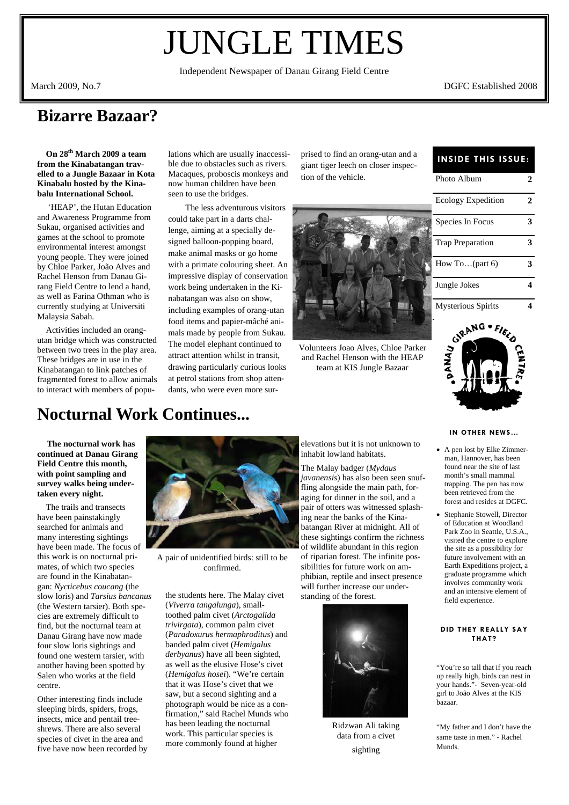# JUNGLE TIMES

Independent Newspaper of Danau Girang Field Centre

March 2009, No.7 DGFC Established 2008

### **Bizarre Bazaar?**

 **On 28th March 2009 a team from the Kinabatangan travelled to a Jungle Bazaar in Kota Kinabalu hosted by the Kinabalu International School.** 

 'HEAP', the Hutan Education and Awareness Programme from Sukau, organised activities and games at the school to promote environmental interest amongst young people. They were joined by Chloe Parker, João Alves and Rachel Henson from Danau Girang Field Centre to lend a hand, as well as Farina Othman who is currently studying at Universiti Malaysia Sabah.

 Activities included an orangutan bridge which was constructed between two trees in the play area. These bridges are in use in the Kinabatangan to link patches of fragmented forest to allow animals to interact with members of populations which are usually inaccessible due to obstacles such as rivers. Macaques, proboscis monkeys and now human children have been seen to use the bridges.

 The less adventurous visitors could take part in a darts challenge, aiming at a specially designed balloon-popping board, make animal masks or go home with a primate colouring sheet. An impressive display of conservation work being undertaken in the Kinabatangan was also on show, including examples of orang-utan food items and papier-mâché animals made by people from Sukau. The model elephant continued to attract attention whilst in transit, drawing particularly curious looks at petrol stations from shop attendants, who were even more surprised to find an orang-utan and a<br>**INSIDE THIS ISSUE:** giant tiger leech on closer inspection of the vehicle.



Volunteers Joao Alves, Chloe Parker and Rachel Henson with the HEAP team at KIS Jungle Bazaar

| Photo Album               | 2 |
|---------------------------|---|
| Ecology Expedition        | 2 |
| Species In Focus          | 3 |
| <b>Trap Preparation</b>   | 3 |
| How To $(\text{part } 6)$ | 3 |
| Jungle Jokes              |   |
|                           |   |

Mysterious Spirits **4** 



#### **IN OTHER NEWS…**

- A pen lost by Elke Zimmerman, Hannover, has been found near the site of last month's small mammal trapping. The pen has now been retrieved from the forest and resides at DGFC.
- Stephanie Stowell, Director of Education at Woodland Park Zoo in Seattle, U.S.A., visited the centre to explore the site as a possibility for future involvement with an Earth Expeditions project, a graduate programme which involves community work and an intensive element of field experience.

#### **DID THEY REALLY SAY THAT?**

"You're so tall that if you reach up really high, birds can nest in your hands."- Seven-year-old girl to João Alves at the KIS bazaar.

"My father and I don't have the same taste in men." - Rachel Munds.

### **Nocturnal Work Continues...**

 **The nocturnal work has continued at Danau Girang Field Centre this month, with point sampling and survey walks being undertaken every night.** 

The trails and transects have been painstakingly searched for animals and many interesting sightings have been made. The focus of this work is on nocturnal primates, of which two species are found in the Kinabatangan: *Nycticebus coucang* (the slow loris) and *Tarsius bancanus* (the Western tarsier). Both species are extremely difficult to find, but the nocturnal team at Danau Girang have now made four slow loris sightings and found one western tarsier, with another having been spotted by Salen who works at the field centre.

Other interesting finds include sleeping birds, spiders, frogs, insects, mice and pentail treeshrews. There are also several species of civet in the area and five have now been recorded by



A pair of unidentified birds: still to be confirmed.

the students here. The Malay civet (*Viverra tangalunga*), smalltoothed palm civet (*Arctogalida trivirgata*), common palm civet (*Paradoxurus hermaphroditus*) and banded palm civet (*Hemigalus derbyanus*) have all been sighted, as well as the elusive Hose's civet (*Hemigalus hosei*). "We're certain that it was Hose's civet that we saw, but a second sighting and a photograph would be nice as a confirmation," said Rachel Munds who has been leading the nocturnal work. This particular species is more commonly found at higher

elevations but it is not unknown to inhabit lowland habitats.

The Malay badger (*Mydaus javanensis*) has also been seen snuffling alongside the main path, foraging for dinner in the soil, and a pair of otters was witnessed splashing near the banks of the Kinabatangan River at midnight. All of these sightings confirm the richness of wildlife abundant in this region of riparian forest. The infinite possibilities for future work on amphibian, reptile and insect presence will further increase our understanding of the forest.



Ridzwan Ali taking data from a civet sighting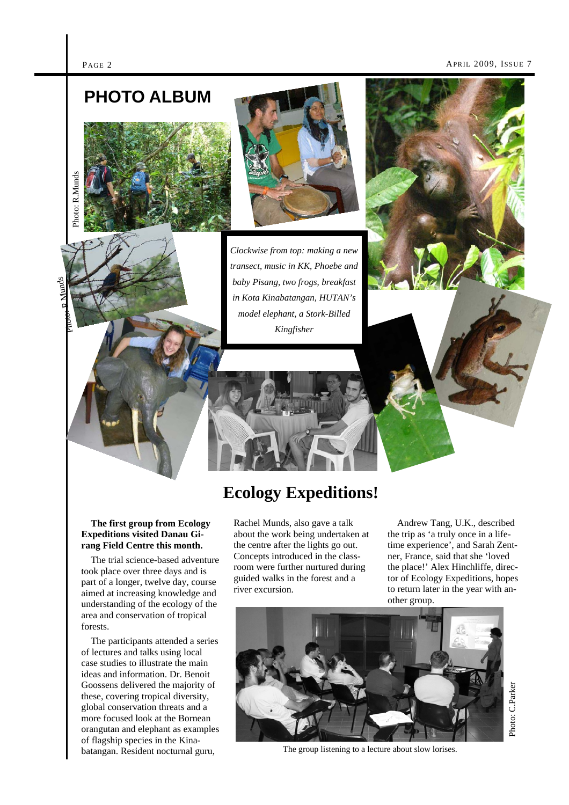Photo: R

M.unds

#### PAGE 2 **APRIL 2009**, ISSUE 7

## **PHOTO ALBUM**





*Clockwise from top: making a new transect, music in KK, Phoebe and baby Pisang, two frogs, breakfast in Kota Kinabatangan, HUTAN's model elephant, a Stork-Billed Kingfisher* 



### **The first group from Ecology Expeditions visited Danau Gi-Ecology Expeditions!**

The trial science-based adventure took place over three days and is part of a longer, twelve day, course aimed at increasing knowledge and understanding of the ecology of the area and conservation of tropical forests.

**rang Field Centre this month.** 

 The participants attended a series of lectures and talks using local case studies to illustrate the main ideas and information. Dr. Benoit Goossens delivered the majority of these, covering tropical diversity, global conservation threats and a more focused look at the Bornean orangutan and elephant as examples of flagship species in the Kinabatangan. Resident nocturnal guru,

Rachel Munds, also gave a talk about the work being undertaken at the centre after the lights go out. Concepts introduced in the classroom were further nurtured during guided walks in the forest and a river excursion.

 Andrew Tang, U.K., described the trip as 'a truly once in a lifetime experience', and Sarah Zentner, France, said that she 'loved the place!' Alex Hinchliffe, director of Ecology Expeditions, hopes to return later in the year with another group.

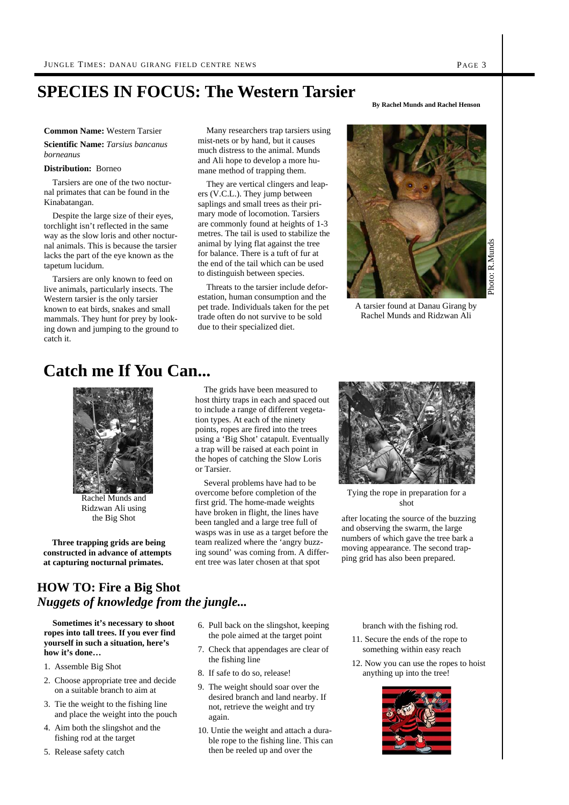### **SPECIES IN FOCUS: The Western Tarsier**

#### **Common Name:** Western Tarsier

**Scientific Name:** *Tarsius bancanus borneanus* 

#### **Distribution:** Borneo

 Tarsiers are one of the two nocturnal primates that can be found in the Kinabatangan.

 Despite the large size of their eyes, torchlight isn't reflected in the same way as the slow loris and other nocturnal animals. This is because the tarsier lacks the part of the eye known as the tapetum lucidum.

 Tarsiers are only known to feed on live animals, particularly insects. The Western tarsier is the only tarsier known to eat birds, snakes and small mammals. They hunt for prey by looking down and jumping to the ground to catch it.

 Many researchers trap tarsiers using mist-nets or by hand, but it causes much distress to the animal. Munds and Ali hope to develop a more humane method of trapping them.

 They are vertical clingers and leapers (V.C.L.). They jump between saplings and small trees as their primary mode of locomotion. Tarsiers are commonly found at heights of 1-3 metres. The tail is used to stabilize the animal by lying flat against the tree for balance. There is a tuft of fur at the end of the tail which can be used to distinguish between species.

 Threats to the tarsier include deforestation, human consumption and the pet trade. Individuals taken for the pet trade often do not survive to be sold due to their specialized diet.

**By Rachel Munds and Rachel Henson** 



A tarsier found at Danau Girang by Rachel Munds and Ridzwan Ali

### **Catch me If You Can...**



Ridzwan Ali using the Big Shot

 **Three trapping grids are being constructed in advance of attempts at capturing nocturnal primates.** 

#### The grids have been measured to host thirty traps in each and spaced out to include a range of different vegetation types. At each of the ninety points, ropes are fired into the trees using a 'Big Shot' catapult. Eventually a trap will be raised at each point in the hopes of catching the Slow Loris or Tarsier.

 Several problems have had to be overcome before completion of the Rachel Munds and first grid. The home-made weights shot shot Rachel Munds and first grid. The home-made weights have broken in flight, the lines have been tangled and a large tree full of wasps was in use as a target before the team realized where the 'angry buzzing sound' was coming from. A different tree was later chosen at that spot



Tying the rope in preparation for a

after locating the source of the buzzing and observing the swarm, the large numbers of which gave the tree bark a moving appearance. The second trapping grid has also been prepared.

### **HOW TO: Fire a Big Shot**  *Nuggets of knowledge from the jungle...*

 **Sometimes it's necessary to shoot ropes into tall trees. If you ever find yourself in such a situation, here's how it's done…** 

- 1. Assemble Big Shot
- 2. Choose appropriate tree and decide on a suitable branch to aim at
- 3. Tie the weight to the fishing line and place the weight into the pouch
- 4. Aim both the slingshot and the fishing rod at the target
- 5. Release safety catch
- 6. Pull back on the slingshot, keeping the pole aimed at the target point
- 7. Check that appendages are clear of the fishing line
- 8. If safe to do so, release!
- 9. The weight should soar over the desired branch and land nearby. If not, retrieve the weight and try again.
- 10. Untie the weight and attach a durable rope to the fishing line. This can then be reeled up and over the

branch with the fishing rod.

- 11. Secure the ends of the rope to something within easy reach
- 12. Now you can use the ropes to hoist anything up into the tree!